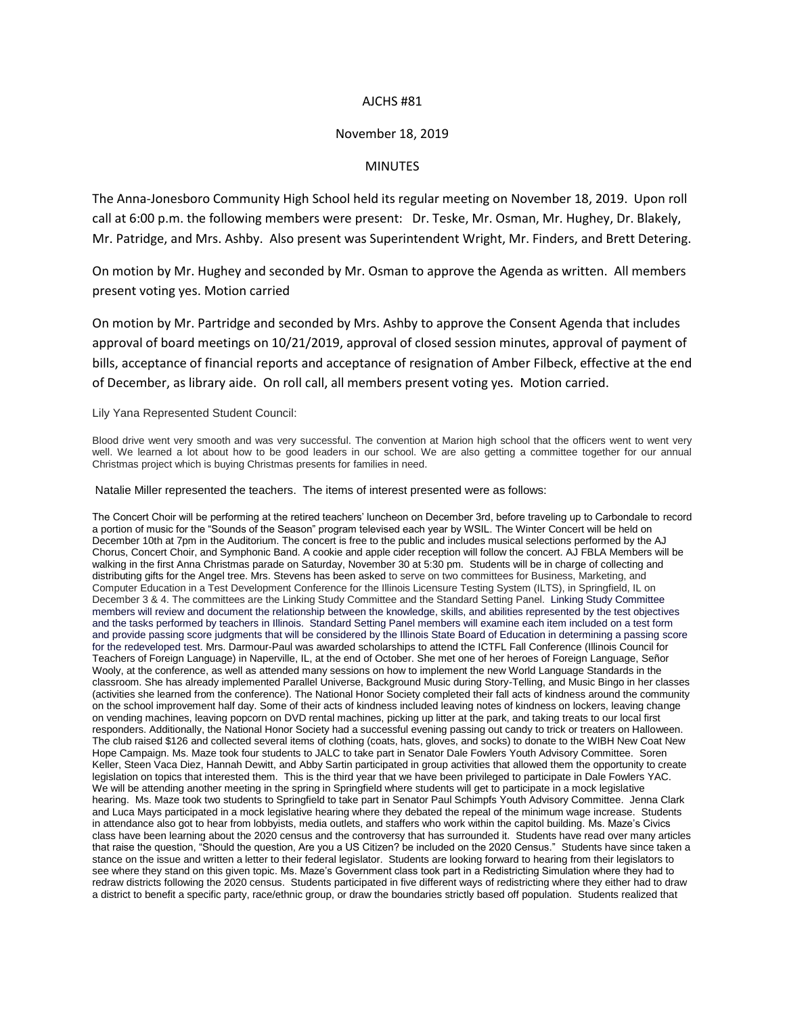## AJCHS #81

## November 18, 2019

## MINUTES

The Anna-Jonesboro Community High School held its regular meeting on November 18, 2019. Upon roll call at 6:00 p.m. the following members were present: Dr. Teske, Mr. Osman, Mr. Hughey, Dr. Blakely, Mr. Patridge, and Mrs. Ashby. Also present was Superintendent Wright, Mr. Finders, and Brett Detering.

On motion by Mr. Hughey and seconded by Mr. Osman to approve the Agenda as written. All members present voting yes. Motion carried

On motion by Mr. Partridge and seconded by Mrs. Ashby to approve the Consent Agenda that includes approval of board meetings on 10/21/2019, approval of closed session minutes, approval of payment of bills, acceptance of financial reports and acceptance of resignation of Amber Filbeck, effective at the end of December, as library aide. On roll call, all members present voting yes. Motion carried.

Lily Yana Represented Student Council:

Blood drive went very smooth and was very successful. The convention at Marion high school that the officers went to went very well. We learned a lot about how to be good leaders in our school. We are also getting a committee together for our annual Christmas project which is buying Christmas presents for families in need.

Natalie Miller represented the teachers. The items of interest presented were as follows:

The Concert Choir will be performing at the retired teachers' luncheon on December 3rd, before traveling up to Carbondale to record a portion of music for the "Sounds of the Season" program televised each year by WSIL. The Winter Concert will be held on December 10th at 7pm in the Auditorium. The concert is free to the public and includes musical selections performed by the AJ Chorus, Concert Choir, and Symphonic Band. A cookie and apple cider reception will follow the concert. AJ FBLA Members will be walking in the first Anna Christmas parade on Saturday, November 30 at 5:30 pm. Students will be in charge of collecting and distributing gifts for the Angel tree. Mrs. Stevens has been asked to serve on two committees for Business, Marketing, and Computer Education in a Test Development Conference for the Illinois Licensure Testing System (ILTS), in Springfield, IL on December 3 & 4. The committees are the Linking Study Committee and the Standard Setting Panel. Linking Study Committee members will review and document the relationship between the knowledge, skills, and abilities represented by the test objectives and the tasks performed by teachers in Illinois. Standard Setting Panel members will examine each item included on a test form and provide passing score judgments that will be considered by the Illinois State Board of Education in determining a passing score for the redeveloped test. Mrs. Darmour-Paul was awarded scholarships to attend the ICTFL Fall Conference (Illinois Council for Teachers of Foreign Language) in Naperville, IL, at the end of October. She met one of her heroes of Foreign Language, Señor Wooly, at the conference, as well as attended many sessions on how to implement the new World Language Standards in the classroom. She has already implemented Parallel Universe, Background Music during Story-Telling, and Music Bingo in her classes (activities she learned from the conference). The National Honor Society completed their fall acts of kindness around the community on the school improvement half day. Some of their acts of kindness included leaving notes of kindness on lockers, leaving change on vending machines, leaving popcorn on DVD rental machines, picking up litter at the park, and taking treats to our local first responders. Additionally, the National Honor Society had a successful evening passing out candy to trick or treaters on Halloween. The club raised \$126 and collected several items of clothing (coats, hats, gloves, and socks) to donate to the WIBH New Coat New Hope Campaign. Ms. Maze took four students to JALC to take part in Senator Dale Fowlers Youth Advisory Committee. Soren Keller, Steen Vaca Diez, Hannah Dewitt, and Abby Sartin participated in group activities that allowed them the opportunity to create legislation on topics that interested them. This is the third year that we have been privileged to participate in Dale Fowlers YAC. We will be attending another meeting in the spring in Springfield where students will get to participate in a mock legislative hearing. Ms. Maze took two students to Springfield to take part in Senator Paul Schimpfs Youth Advisory Committee. Jenna Clark and Luca Mays participated in a mock legislative hearing where they debated the repeal of the minimum wage increase. Students in attendance also got to hear from lobbyists, media outlets, and staffers who work within the capitol building. Ms. Maze's Civics class have been learning about the 2020 census and the controversy that has surrounded it. Students have read over many articles that raise the question, "Should the question, Are you a US Citizen? be included on the 2020 Census." Students have since taken a stance on the issue and written a letter to their federal legislator. Students are looking forward to hearing from their legislators to see where they stand on this given topic. Ms. Maze's Government class took part in a Redistricting Simulation where they had to redraw districts following the 2020 census. Students participated in five different ways of redistricting where they either had to draw a district to benefit a specific party, race/ethnic group, or draw the boundaries strictly based off population. Students realized that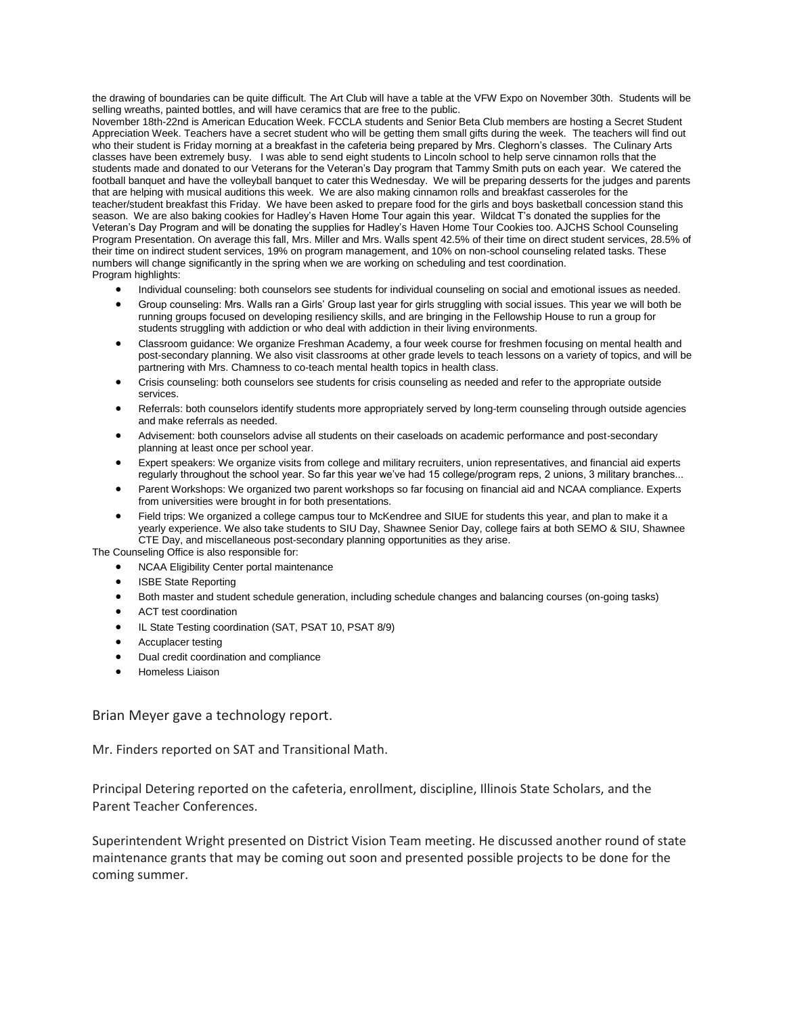the drawing of boundaries can be quite difficult. The Art Club will have a table at the VFW Expo on November 30th. Students will be selling wreaths, painted bottles, and will have ceramics that are free to the public.

November 18th-22nd is American Education Week. FCCLA students and Senior Beta Club members are hosting a Secret Student Appreciation Week. Teachers have a secret student who will be getting them small gifts during the week. The teachers will find out who their student is Friday morning at a breakfast in the cafeteria being prepared by Mrs. Cleghorn's classes. The Culinary Arts classes have been extremely busy. I was able to send eight students to Lincoln school to help serve cinnamon rolls that the students made and donated to our Veterans for the Veteran's Day program that Tammy Smith puts on each year. We catered the football banquet and have the volleyball banquet to cater this Wednesday. We will be preparing desserts for the judges and parents that are helping with musical auditions this week. We are also making cinnamon rolls and breakfast casseroles for the teacher/student breakfast this Friday. We have been asked to prepare food for the girls and boys basketball concession stand this season. We are also baking cookies for Hadley's Haven Home Tour again this year. Wildcat T's donated the supplies for the Veteran's Day Program and will be donating the supplies for Hadley's Haven Home Tour Cookies too. AJCHS School Counseling Program Presentation. On average this fall, Mrs. Miller and Mrs. Walls spent 42.5% of their time on direct student services, 28.5% of their time on indirect student services, 19% on program management, and 10% on non-school counseling related tasks. These numbers will change significantly in the spring when we are working on scheduling and test coordination. Program highlights:

- Individual counseling: both counselors see students for individual counseling on social and emotional issues as needed.
- Group counseling: Mrs. Walls ran a Girls' Group last year for girls struggling with social issues. This year we will both be running groups focused on developing resiliency skills, and are bringing in the Fellowship House to run a group for students struggling with addiction or who deal with addiction in their living environments.
- Classroom guidance: We organize Freshman Academy, a four week course for freshmen focusing on mental health and post-secondary planning. We also visit classrooms at other grade levels to teach lessons on a variety of topics, and will be partnering with Mrs. Chamness to co-teach mental health topics in health class.
- Crisis counseling: both counselors see students for crisis counseling as needed and refer to the appropriate outside services.
- Referrals: both counselors identify students more appropriately served by long-term counseling through outside agencies and make referrals as needed.
- Advisement: both counselors advise all students on their caseloads on academic performance and post-secondary planning at least once per school year.
- Expert speakers: We organize visits from college and military recruiters, union representatives, and financial aid experts regularly throughout the school year. So far this year we've had 15 college/program reps, 2 unions, 3 military branches...
- Parent Workshops: We organized two parent workshops so far focusing on financial aid and NCAA compliance. Experts from universities were brought in for both presentations.
- Field trips: We organized a college campus tour to McKendree and SIUE for students this year, and plan to make it a yearly experience. We also take students to SIU Day, Shawnee Senior Day, college fairs at both SEMO & SIU, Shawnee CTE Day, and miscellaneous post-secondary planning opportunities as they arise.

The Counseling Office is also responsible for: NCAA Eligibility Center portal maintenance

- ISBE State Reporting
- Both master and student schedule generation, including schedule changes and balancing courses (on-going tasks)
- ACT test coordination
- IL State Testing coordination (SAT, PSAT 10, PSAT 8/9)
- Accuplacer testing
- Dual credit coordination and compliance
- Homeless Liaison

Brian Meyer gave a technology report.

Mr. Finders reported on SAT and Transitional Math.

Principal Detering reported on the cafeteria, enrollment, discipline, Illinois State Scholars, and the Parent Teacher Conferences.

Superintendent Wright presented on District Vision Team meeting. He discussed another round of state maintenance grants that may be coming out soon and presented possible projects to be done for the coming summer.